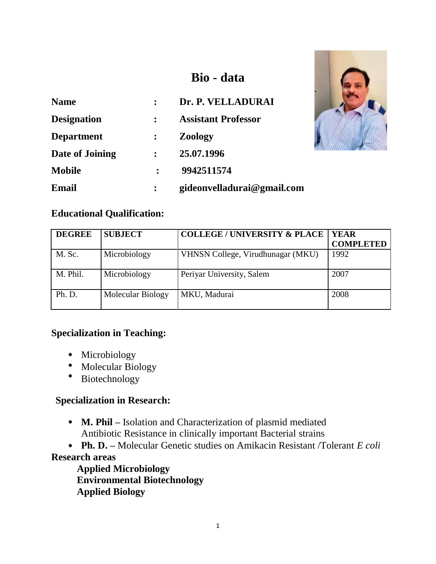# **Bio - data**

| <b>Name</b>        |                | Dr. P. VELLADURAI          |
|--------------------|----------------|----------------------------|
| <b>Designation</b> | $\ddot{\cdot}$ | <b>Assistant Professor</b> |
| <b>Department</b>  |                | <b>Zoology</b>             |
| Date of Joining    | $\ddot{\cdot}$ | 25.07.1996                 |
| <b>Mobile</b>      |                | 9942511574                 |
| Email              |                | gideonvelladurai@gmail.com |



# **Educational Qualification:**

| <b>DEGREE</b> | <b>SUBJECT</b>    | <b>COLLEGE / UNIVERSITY &amp; PLACE</b> | <b>YEAR</b><br><b>COMPLETED</b> |
|---------------|-------------------|-----------------------------------------|---------------------------------|
| M. Sc.        | Microbiology      | VHNSN College, Virudhunagar (MKU)       | 1992                            |
| M. Phil.      | Microbiology      | Periyar University, Salem               | 2007                            |
| Ph. D.        | Molecular Biology | MKU, Madurai                            | 2008                            |

### **Specialization in Teaching:**

- Microbiology
- Molecular Biology
- $\bullet$ Biotechnology

# **Specialization in Research:**

- **M. Phil –** Isolation and Characterization of plasmid mediated Antibiotic Resistance in clinically important Bacterial strains
- **Ph. D. –** Molecular Genetic studies on Amikacin Resistant /Tolerant *E coli*

# **Research areas**

**Applied Microbiology Environmental Biotechnology Applied Biology**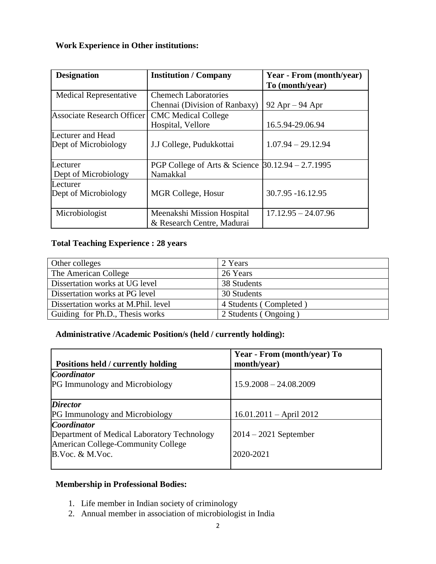# **Work Experience in Other institutions:**

| <b>Designation</b>                        | <b>Institution</b> / Company                                         | Year - From (month/year) |
|-------------------------------------------|----------------------------------------------------------------------|--------------------------|
|                                           |                                                                      | To (month/year)          |
| <b>Medical Representative</b>             | <b>Chemech Laboratories</b>                                          |                          |
|                                           | Chennai (Division of Ranbaxy)                                        | $92$ Apr $-94$ Apr       |
| <b>Associate Research Officer</b>         | <b>CMC</b> Medical College                                           |                          |
|                                           | Hospital, Vellore                                                    | 16.5.94-29.06.94         |
| Lecturer and Head<br>Dept of Microbiology | J.J College, Pudukkottai                                             | $1.07.94 - 29.12.94$     |
| Lecturer<br>Dept of Microbiology          | PGP College of Arts & Science $\beta$ 0.12.94 - 2.7.1995<br>Namakkal |                          |
| Lecturer<br>Dept of Microbiology          | MGR College, Hosur                                                   | 30.7.95 -16.12.95        |
| Microbiologist                            | Meenakshi Mission Hospital<br>& Research Centre, Madurai             | $17.12.95 - 24.07.96$    |

### **Total Teaching Experience : 28 years**

| Other colleges                      | 2 Years                |
|-------------------------------------|------------------------|
| The American College                | 26 Years               |
| Dissertation works at UG level      | 38 Students            |
| Dissertation works at PG level      | 30 Students            |
| Dissertation works at M.Phil. level | 4 Students (Completed) |
| Guiding for Ph.D., Thesis works     | 2 Students (Ongoing)   |

# **Administrative /Academic Position/s (held / currently holding):**

| Positions held / currently holding          | Year - From (month/year) To<br>month/year) |
|---------------------------------------------|--------------------------------------------|
| <b>Coordinator</b>                          |                                            |
| <b>PG Immunology and Microbiology</b>       | $15.9.2008 - 24.08.2009$                   |
| <b>Director</b>                             |                                            |
| <b>PG</b> Immunology and Microbiology       | $16.01.2011 - April 2012$                  |
| <b>Coordinator</b>                          |                                            |
| Department of Medical Laboratory Technology | $2014 - 2021$ September                    |
| American College-Community College          |                                            |
| B.Voc. & M.Voc.                             | 2020-2021                                  |
|                                             |                                            |

# **Membership in Professional Bodies:**

- 1. Life member in Indian society of criminology
- 2. Annual member in association of microbiologist in India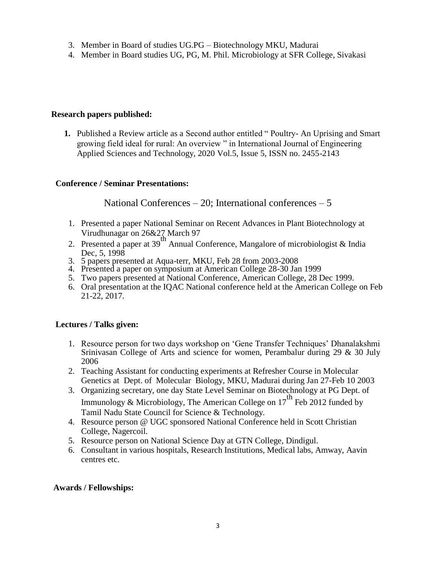- 3. Member in Board of studies UG.PG Biotechnology MKU, Madurai
- 4. Member in Board studies UG, PG, M. Phil. Microbiology at SFR College, Sivakasi

#### **Research papers published:**

**1.** Published a Review article as a Second author entitled " Poultry- An Uprising and Smart growing field ideal for rural: An overview " in International Journal of Engineering Applied Sciences and Technology, 2020 Vol.5, Issue 5, ISSN no. 2455-2143

#### **Conference / Seminar Presentations:**

National Conferences  $-20$ ; International conferences  $-5$ 

- 1. Presented a paper National Seminar on Recent Advances in Plant Biotechnology at Virudhunagar on 26&27 March 97
- 2. Presented a paper at 39<sup>th</sup> Annual Conference, Mangalore of microbiologist & India Dec, 5, 1998
- 3. 5 papers presented at Aqua-terr, MKU, Feb 28 from 2003-2008
- 4. Presented a paper on symposium at American College 28-30 Jan 1999
- 5. Two papers presented at National Conference, American College, 28 Dec 1999.
- 6. Oral presentation at the IQAC National conference held at the American College on Feb 21-22, 2017.

#### **Lectures / Talks given:**

- 1. Resource person for two days workshop on "Gene Transfer Techniques" Dhanalakshmi Srinivasan College of Arts and science for women, Perambalur during 29 & 30 July 2006
- 2. Teaching Assistant for conducting experiments at Refresher Course in Molecular Genetics at Dept. of Molecular Biology, MKU, Madurai during Jan 27-Feb 10 2003
- 3. Organizing secretary, one day State Level Seminar on Biotechnology at PG Dept. of Immunology & Microbiology, The American College on  $17^{th}$  Feb 2012 funded by Tamil Nadu State Council for Science & Technology.
- 4. Resource person @ UGC sponsored National Conference held in Scott Christian College, Nagercoil.
- 5. Resource person on National Science Day at GTN College, Dindigul.
- 6. Consultant in various hospitals, Research Institutions, Medical labs, Amway, Aavin centres etc.

#### **Awards / Fellowships:**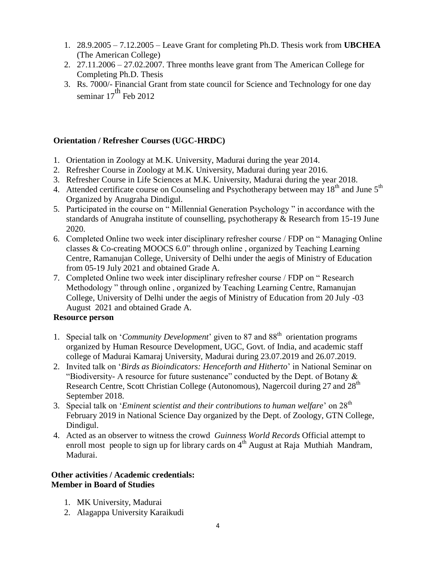- 1. 28.9.2005 7.12.2005 Leave Grant for completing Ph.D. Thesis work from **UBCHEA** (The American College)
- 2. 27.11.2006 27.02.2007. Three months leave grant from The American College for Completing Ph.D. Thesis
- 3. Rs. 7000/- Financial Grant from state council for Science and Technology for one day seminar  $17^{\text{th}}$  Feb 2012

#### **Orientation / Refresher Courses (UGC-HRDC)**

- 1. Orientation in Zoology at M.K. University, Madurai during the year 2014.
- 2. Refresher Course in Zoology at M.K. University, Madurai during year 2016.
- 3. Refresher Course in Life Sciences at M.K. University, Madurai during the year 2018.
- 4. Attended certificate course on Counseling and Psychotherapy between may  $18<sup>th</sup>$  and June  $5<sup>th</sup>$ Organized by Anugraha Dindigul.
- 5. Participated in the course on " Millennial Generation Psychology " in accordance with the standards of Anugraha institute of counselling, psychotherapy & Research from 15-19 June 2020.
- 6. Completed Online two week inter disciplinary refresher course / FDP on " Managing Online classes & Co-creating MOOCS 6.0" through online , organized by Teaching Learning Centre, Ramanujan College, University of Delhi under the aegis of Ministry of Education from 05-19 July 2021 and obtained Grade A.
- 7. Completed Online two week inter disciplinary refresher course / FDP on " Research Methodology " through online , organized by Teaching Learning Centre, Ramanujan College, University of Delhi under the aegis of Ministry of Education from 20 July -03 August 2021 and obtained Grade A.

#### **Resource person**

- 1. Special talk on 'Community Development' given to 87 and 88<sup>th</sup> orientation programs organized by Human Resource Development, UGC, Govt. of India, and academic staff college of Madurai Kamaraj University, Madurai during 23.07.2019 and 26.07.2019.
- 2. Invited talk on "*Birds as Bioindicators: Henceforth and Hitherto*" in National Seminar on "Biodiversity- A resource for future sustenance" conducted by the Dept. of Botany  $\&$ Research Centre, Scott Christian College (Autonomous), Nagercoil during 27 and 28<sup>th</sup> September 2018.
- 3. Special talk on "*Eminent scientist and their contributions to human welfare*" on 28th February 2019 in National Science Day organized by the Dept. of Zoology, GTN College, Dindigul.
- 4. Acted as an observer to witness the crowd *Guinness World Records* Official attempt to enroll most people to sign up for library cards on  $4<sup>th</sup>$  August at Raja Muthiah Mandram, Madurai.

#### **Other activities / Academic credentials: Member in Board of Studies**

- 1. MK University, Madurai
- 2. Alagappa University Karaikudi